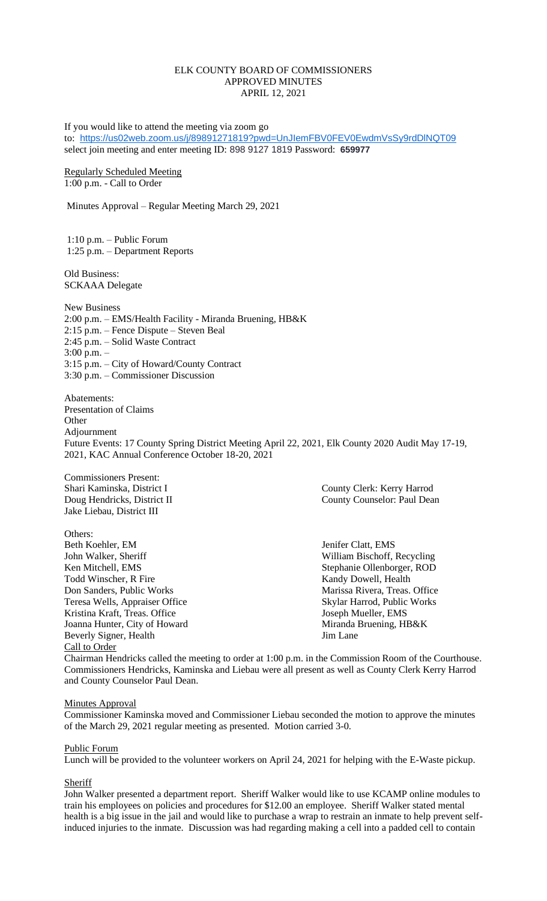#### ELK COUNTY BOARD OF COMMISSIONERS APPROVED MINUTES APRIL 12, 2021

If you would like to attend the meeting via zoom go to: <https://us02web.zoom.us/j/89891271819?pwd=UnJIemFBV0FEV0EwdmVsSy9rdDlNQT09> select join meeting and enter meeting ID: 898 9127 1819 Password: **659977**

Regularly Scheduled Meeting 1:00 p.m. - Call to Order

Minutes Approval – Regular Meeting March 29, 2021

1:10 p.m. – Public Forum 1:25 p.m. – Department Reports

Old Business: SCKAAA Delegate

New Business 2:00 p.m. – EMS/Health Facility - Miranda Bruening, HB&K 2:15 p.m. – Fence Dispute – Steven Beal 2:45 p.m. – Solid Waste Contract 3:00 p.m. – 3:15 p.m. – City of Howard/County Contract 3:30 p.m. – Commissioner Discussion

Abatements: Presentation of Claims **Other** Adjournment Future Events: 17 County Spring District Meeting April 22, 2021, Elk County 2020 Audit May 17-19, 2021, KAC Annual Conference October 18-20, 2021

Commissioners Present: Jake Liebau, District III

Others:<br>Beth Koehler, EM John Walker, Sheriff William Bischoff, Recycling Ken Mitchell, EMS Stephanie Ollenborger, ROD Todd Winscher, R Fire Kandy Dowell, Health Don Sanders, Public Works Marissa Rivera, Treas. Office Teresa Wells, Appraiser Office Skylar Harrod, Public Works Kristina Kraft, Treas. Office Same School and Mueller, EMS Joanna Hunter, City of Howard Miranda Bruening, HB&K Beverly Signer, Health Jim Lane Call to Order

Shari Kaminska, District I County Clerk: Kerry Harrod Doug Hendricks, District II County Counselor: Paul Dean

Jenifer Clatt, EMS

Chairman Hendricks called the meeting to order at 1:00 p.m. in the Commission Room of the Courthouse. Commissioners Hendricks, Kaminska and Liebau were all present as well as County Clerk Kerry Harrod and County Counselor Paul Dean.

#### **Minutes Approval**

Commissioner Kaminska moved and Commissioner Liebau seconded the motion to approve the minutes of the March 29, 2021 regular meeting as presented. Motion carried 3-0.

#### Public Forum

Lunch will be provided to the volunteer workers on April 24, 2021 for helping with the E-Waste pickup.

#### **Sheriff**

John Walker presented a department report. Sheriff Walker would like to use KCAMP online modules to train his employees on policies and procedures for \$12.00 an employee. Sheriff Walker stated mental health is a big issue in the jail and would like to purchase a wrap to restrain an inmate to help prevent selfinduced injuries to the inmate. Discussion was had regarding making a cell into a padded cell to contain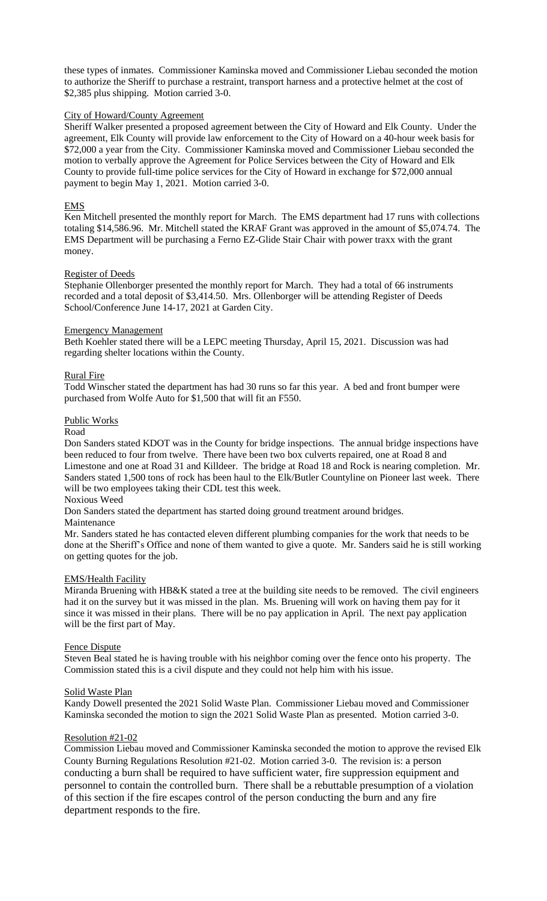these types of inmates. Commissioner Kaminska moved and Commissioner Liebau seconded the motion to authorize the Sheriff to purchase a restraint, transport harness and a protective helmet at the cost of \$2,385 plus shipping. Motion carried 3-0.

### City of Howard/County Agreement

Sheriff Walker presented a proposed agreement between the City of Howard and Elk County. Under the agreement, Elk County will provide law enforcement to the City of Howard on a 40-hour week basis for \$72,000 a year from the City. Commissioner Kaminska moved and Commissioner Liebau seconded the motion to verbally approve the Agreement for Police Services between the City of Howard and Elk County to provide full-time police services for the City of Howard in exchange for \$72,000 annual payment to begin May 1, 2021. Motion carried 3-0.

### EMS

Ken Mitchell presented the monthly report for March. The EMS department had 17 runs with collections totaling \$14,586.96. Mr. Mitchell stated the KRAF Grant was approved in the amount of \$5,074.74. The EMS Department will be purchasing a Ferno EZ-Glide Stair Chair with power traxx with the grant money.

#### Register of Deeds

Stephanie Ollenborger presented the monthly report for March. They had a total of 66 instruments recorded and a total deposit of \$3,414.50. Mrs. Ollenborger will be attending Register of Deeds School/Conference June 14-17, 2021 at Garden City.

#### Emergency Management

Beth Koehler stated there will be a LEPC meeting Thursday, April 15, 2021. Discussion was had regarding shelter locations within the County.

## Rural Fire

Todd Winscher stated the department has had 30 runs so far this year. A bed and front bumper were purchased from Wolfe Auto for \$1,500 that will fit an F550.

#### Public Works

#### Road

Don Sanders stated KDOT was in the County for bridge inspections. The annual bridge inspections have been reduced to four from twelve. There have been two box culverts repaired, one at Road 8 and Limestone and one at Road 31 and Killdeer. The bridge at Road 18 and Rock is nearing completion. Mr. Sanders stated 1,500 tons of rock has been haul to the Elk/Butler Countyline on Pioneer last week. There will be two employees taking their CDL test this week.

Noxious Weed

Don Sanders stated the department has started doing ground treatment around bridges.

#### Maintenance

Mr. Sanders stated he has contacted eleven different plumbing companies for the work that needs to be done at the Sheriff's Office and none of them wanted to give a quote. Mr. Sanders said he is still working on getting quotes for the job.

#### EMS/Health Facility

Miranda Bruening with HB&K stated a tree at the building site needs to be removed. The civil engineers had it on the survey but it was missed in the plan. Ms. Bruening will work on having them pay for it since it was missed in their plans. There will be no pay application in April. The next pay application will be the first part of May.

#### Fence Dispute

Steven Beal stated he is having trouble with his neighbor coming over the fence onto his property. The Commission stated this is a civil dispute and they could not help him with his issue.

#### Solid Waste Plan

Kandy Dowell presented the 2021 Solid Waste Plan. Commissioner Liebau moved and Commissioner Kaminska seconded the motion to sign the 2021 Solid Waste Plan as presented. Motion carried 3-0.

#### Resolution #21-02

Commission Liebau moved and Commissioner Kaminska seconded the motion to approve the revised Elk County Burning Regulations Resolution #21-02. Motion carried 3-0. The revision is: a person conducting a burn shall be required to have sufficient water, fire suppression equipment and personnel to contain the controlled burn. There shall be a rebuttable presumption of a violation of this section if the fire escapes control of the person conducting the burn and any fire department responds to the fire.